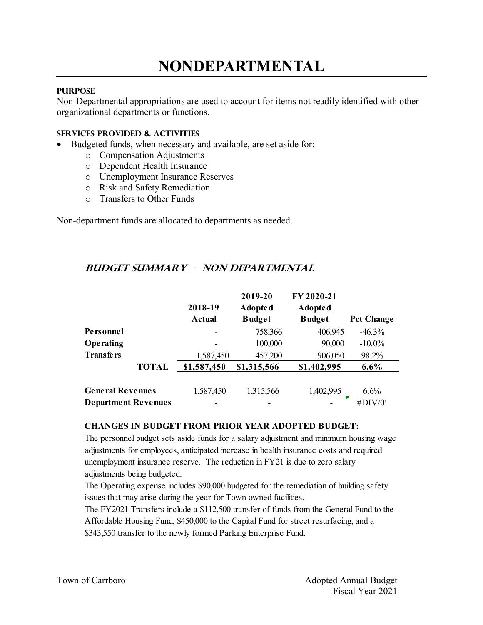# **NONDEPARTMENTAL**

### **PURPOSE**

Non-Departmental appropriations are used to account for items not readily identified with other organizational departments or functions.

#### **Services provided & activities**

- Budgeted funds, when necessary and available, are set aside for:
	- o Compensation Adjustments
	- o Dependent Health Insurance
	- o Unemployment Insurance Reserves
	- o Risk and Safety Remediation
	- o Transfers to Other Funds

Non-department funds are allocated to departments as needed.

## **Budget summary - non-departmental**

|                                                       | 2018-19<br>Actual | 2019-20<br><b>Adopted</b><br><b>Budget</b> | FY 2020-21<br><b>Adopted</b><br><b>Budget</b> | <b>Pct Change</b> |
|-------------------------------------------------------|-------------------|--------------------------------------------|-----------------------------------------------|-------------------|
| Personnel                                             |                   | 758,366                                    | 406,945                                       | $-46.3%$          |
| <b>Operating</b>                                      |                   | 100,000                                    | 90,000                                        | $-10.0\%$         |
| <b>Transfers</b>                                      | 1,587,450         | 457,200                                    | 906,050                                       | 98.2%             |
| <b>TOTAL</b>                                          | \$1,587,450       | \$1,315,566                                | \$1,402,995                                   | $6.6\%$           |
| <b>General Revenues</b><br><b>Department Revenues</b> | 1,587,450         | 1,315,566                                  | 1,402,995                                     | 6.6%<br>#DIV/0!   |

#### **CHANGES IN BUDGET FROM PRIOR YEAR ADOPTED BUDGET:**

The personnel budget sets aside funds for a salary adjustment and minimum housing wage adjustments for employees, anticipated increase in health insurance costs and required unemployment insurance reserve. The reduction in FY21 is due to zero salary adjustments being budgeted.

The Operating expense includes \$90,000 budgeted for the remediation of building safety issues that may arise during the year for Town owned facilities.

The FY2021 Transfers include a \$112,500 transfer of funds from the General Fund to the Affordable Housing Fund, \$450,000 to the Capital Fund for street resurfacing, and a \$343,550 transfer to the newly formed Parking Enterprise Fund.